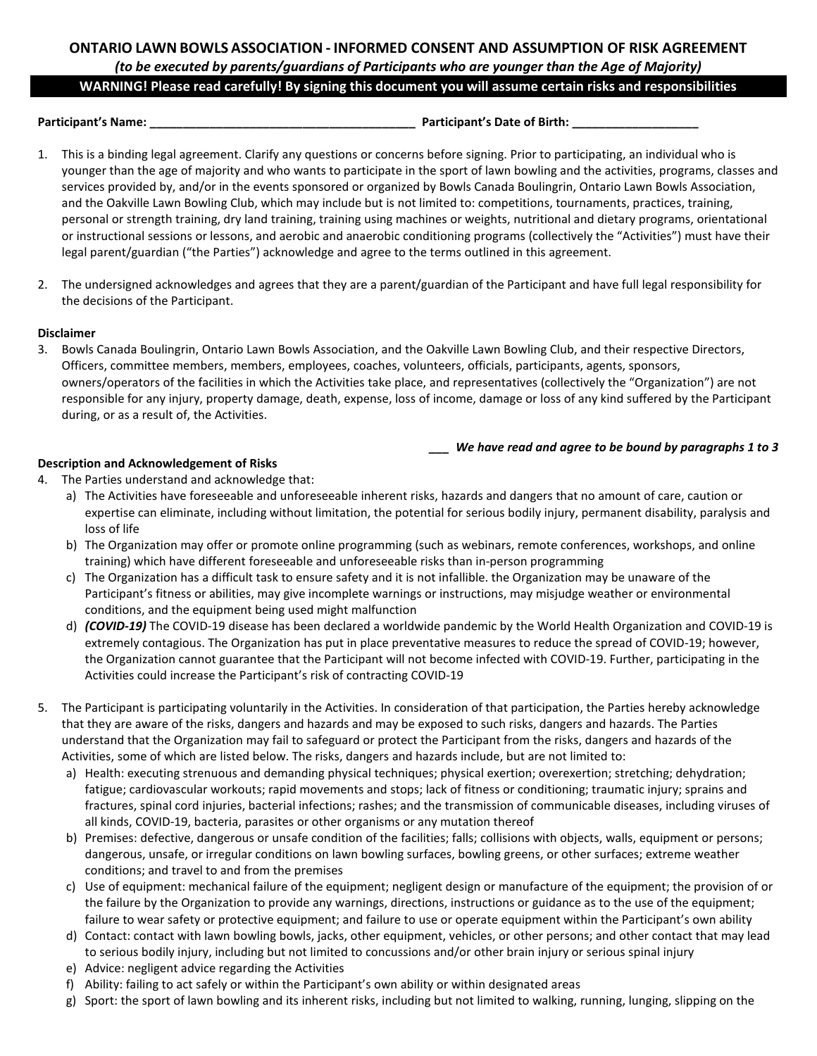# **ONTARIO LAWN BOWLS ASSOCIATION - INFORMED CONSENT AND ASSUMPTION OF RISK AGREEMENT** *(to be executed by parents/guardians of Participants who are younger than the Age of Majority)*

## **WARNING! Please read carefully! By signing this document you will assume certain risks and responsibilities**

**Participant's Name: \_\_\_\_\_\_\_\_\_\_\_\_\_\_\_\_\_\_\_\_\_\_\_\_\_\_\_\_\_\_\_\_\_\_\_\_\_\_\_\_ Participant's Date of Birth: \_\_\_\_\_\_\_\_\_\_\_\_\_\_\_\_\_\_\_**

- 1. This is a binding legal agreement. Clarify any questions or concerns before signing. Prior to participating, an individual who is younger than the age of majority and who wants to participate in the sport of lawn bowling and the activities, programs, classes and services provided by, and/or in the events sponsored or organized by Bowls Canada Boulingrin, Ontario Lawn Bowls Association, and the Oakville Lawn Bowling Club, which may include but is not limited to: competitions, tournaments, practices, training, personal or strength training, dry land training, training using machines or weights, nutritional and dietary programs, orientational or instructional sessions or lessons, and aerobic and anaerobic conditioning programs (collectively the "Activities") must have their legal parent/guardian ("the Parties") acknowledge and agree to the terms outlined in this agreement.
- 2. The undersigned acknowledges and agrees that they are a parent/guardian of the Participant and have full legal responsibility for the decisions of the Participant.

## **Disclaimer**

3. Bowls Canada Boulingrin, Ontario Lawn Bowls Association, and the Oakville Lawn Bowling Club, and their respective Directors, Officers, committee members, members, employees, coaches, volunteers, officials, participants, agents, sponsors, owners/operators of the facilities in which the Activities take place, and representatives (collectively the "Organization") are not responsible for any injury, property damage, death, expense, loss of income, damage or loss of any kind suffered by the Participant during, or as a result of, the Activities.

*\_\_\_ We have read and agree to be bound by paragraphs 1 to 3*

## **Description and Acknowledgement of Risks**

- 4. The Parties understand and acknowledge that:
	- a) The Activities have foreseeable and unforeseeable inherent risks, hazards and dangers that no amount of care, caution or expertise can eliminate, including without limitation, the potential for serious bodily injury, permanent disability, paralysis and loss of life
	- b) The Organization may offer or promote online programming (such as webinars, remote conferences, workshops, and online training) which have different foreseeable and unforeseeable risks than in-person programming
	- c) The Organization has a difficult task to ensure safety and it is not infallible. the Organization may be unaware of the Participant's fitness or abilities, may give incomplete warnings or instructions, may misjudge weather or environmental conditions, and the equipment being used might malfunction
	- d) *(COVID-19)* The COVID-19 disease has been declared a worldwide pandemic by the World Health Organization and COVID-19 is extremely contagious. The Organization has put in place preventative measures to reduce the spread of COVID-19; however, the Organization cannot guarantee that the Participant will not become infected with COVID-19. Further, participating in the Activities could increase the Participant's risk of contracting COVID-19
- 5. The Participant is participating voluntarily in the Activities. In consideration of that participation, the Parties hereby acknowledge that they are aware of the risks, dangers and hazards and may be exposed to such risks, dangers and hazards. The Parties understand that the Organization may fail to safeguard or protect the Participant from the risks, dangers and hazards of the Activities, some of which are listed below. The risks, dangers and hazards include, but are not limited to:
	- a) Health: executing strenuous and demanding physical techniques; physical exertion; overexertion; stretching; dehydration; fatigue; cardiovascular workouts; rapid movements and stops; lack of fitness or conditioning; traumatic injury; sprains and fractures, spinal cord injuries, bacterial infections; rashes; and the transmission of communicable diseases, including viruses of all kinds, COVID-19, bacteria, parasites or other organisms or any mutation thereof
	- b) Premises: defective, dangerous or unsafe condition of the facilities; falls; collisions with objects, walls, equipment or persons; dangerous, unsafe, or irregular conditions on lawn bowling surfaces, bowling greens, or other surfaces; extreme weather conditions; and travel to and from the premises
	- c) Use of equipment: mechanical failure of the equipment; negligent design or manufacture of the equipment; the provision of or the failure by the Organization to provide any warnings, directions, instructions or guidance as to the use of the equipment; failure to wear safety or protective equipment; and failure to use or operate equipment within the Participant's own ability
	- d) Contact: contact with lawn bowling bowls, jacks, other equipment, vehicles, or other persons; and other contact that may lead to serious bodily injury, including but not limited to concussions and/or other brain injury or serious spinal injury
	- e) Advice: negligent advice regarding the Activities
	- f) Ability: failing to act safely or within the Participant's own ability or within designated areas
	- g) Sport: the sport of lawn bowling and its inherent risks, including but not limited to walking, running, lunging, slipping on the